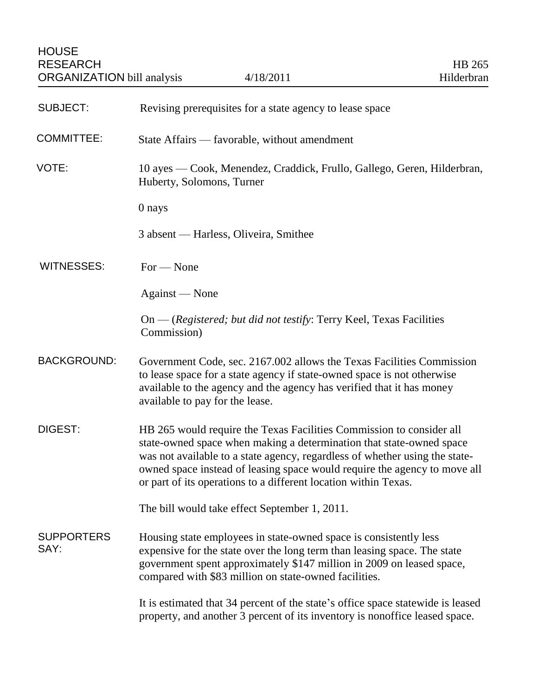| <b>SUBJECT:</b>           | Revising prerequisites for a state agency to lease space                                                                                                                                                                                                                                                                                                                    |
|---------------------------|-----------------------------------------------------------------------------------------------------------------------------------------------------------------------------------------------------------------------------------------------------------------------------------------------------------------------------------------------------------------------------|
| <b>COMMITTEE:</b>         | State Affairs — favorable, without amendment                                                                                                                                                                                                                                                                                                                                |
| VOTE:                     | 10 ayes — Cook, Menendez, Craddick, Frullo, Gallego, Geren, Hilderbran,<br>Huberty, Solomons, Turner                                                                                                                                                                                                                                                                        |
|                           | 0 nays                                                                                                                                                                                                                                                                                                                                                                      |
|                           | 3 absent — Harless, Oliveira, Smithee                                                                                                                                                                                                                                                                                                                                       |
| <b>WITNESSES:</b>         | $For - None$                                                                                                                                                                                                                                                                                                                                                                |
|                           | Against — None                                                                                                                                                                                                                                                                                                                                                              |
|                           | On — (Registered; but did not testify: Terry Keel, Texas Facilities<br>Commission)                                                                                                                                                                                                                                                                                          |
| <b>BACKGROUND:</b>        | Government Code, sec. 2167.002 allows the Texas Facilities Commission<br>to lease space for a state agency if state-owned space is not otherwise<br>available to the agency and the agency has verified that it has money<br>available to pay for the lease.                                                                                                                |
| <b>DIGEST:</b>            | HB 265 would require the Texas Facilities Commission to consider all<br>state-owned space when making a determination that state-owned space<br>was not available to a state agency, regardless of whether using the state-<br>owned space instead of leasing space would require the agency to move all<br>or part of its operations to a different location within Texas. |
|                           | The bill would take effect September 1, 2011.                                                                                                                                                                                                                                                                                                                               |
| <b>SUPPORTERS</b><br>SAY: | Housing state employees in state-owned space is consistently less<br>expensive for the state over the long term than leasing space. The state<br>government spent approximately \$147 million in 2009 on leased space,<br>compared with \$83 million on state-owned facilities.                                                                                             |
|                           | It is estimated that 34 percent of the state's office space statewide is leased<br>property, and another 3 percent of its inventory is nonoffice leased space.                                                                                                                                                                                                              |